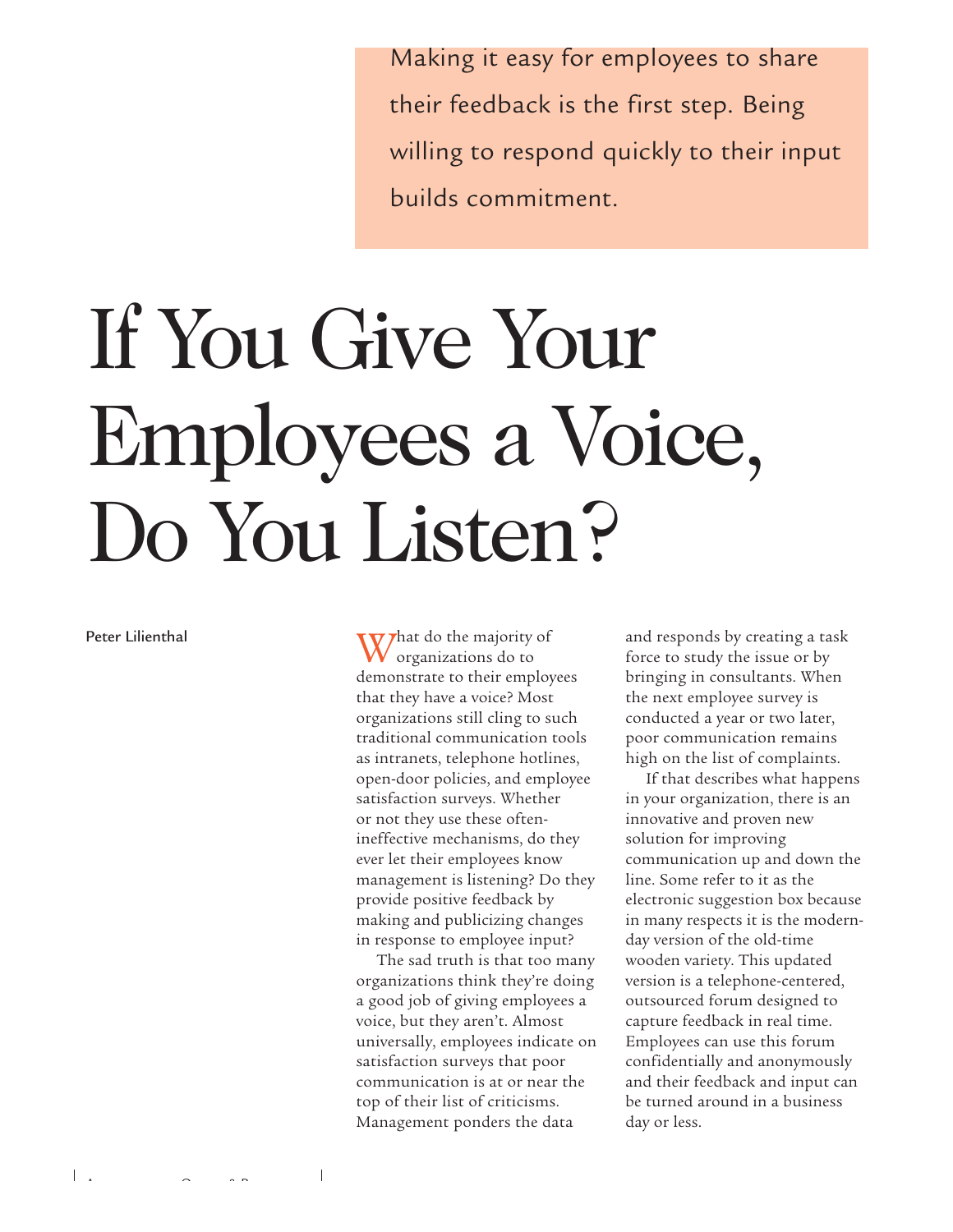Making it easy for employees to share their feedback is the first step. Being willing to respond quickly to their input builds commitment.

# If You Give Your Employees a Voice, Do You Listen?

Peter Lilienthal

What do the majority of organizations do to demonstrate to their employees that they have a voice? Most organizations still cling to such traditional communication tools as intranets, telephone hotlines, open-door policies, and employee satisfaction surveys. Whether or not they use these oftenineffective mechanisms, do they ever let their employees know management is listening? Do they provide positive feedback by making and publicizing changes in response to employee input?

The sad truth is that too many organizations think they're doing a good job of giving employees a voice, but they aren't. Almost universally, employees indicate on satisfaction surveys that poor communication is at or near the top of their list of criticisms. Management ponders the data

and responds by creating a task force to study the issue or by bringing in consultants. When the next employee survey is conducted a year or two later, poor communication remains high on the list of complaints.

If that describes what happens in your organization, there is an innovative and proven new solution for improving communication up and down the line. Some refer to it as the electronic suggestion box because in many respects it is the modernday version of the old-time wooden variety. This updated version is a telephone-centered, outsourced forum designed to capture feedback in real time. Employees can use this forum confidentially and anonymously and their feedback and input can be turned around in a business day or less.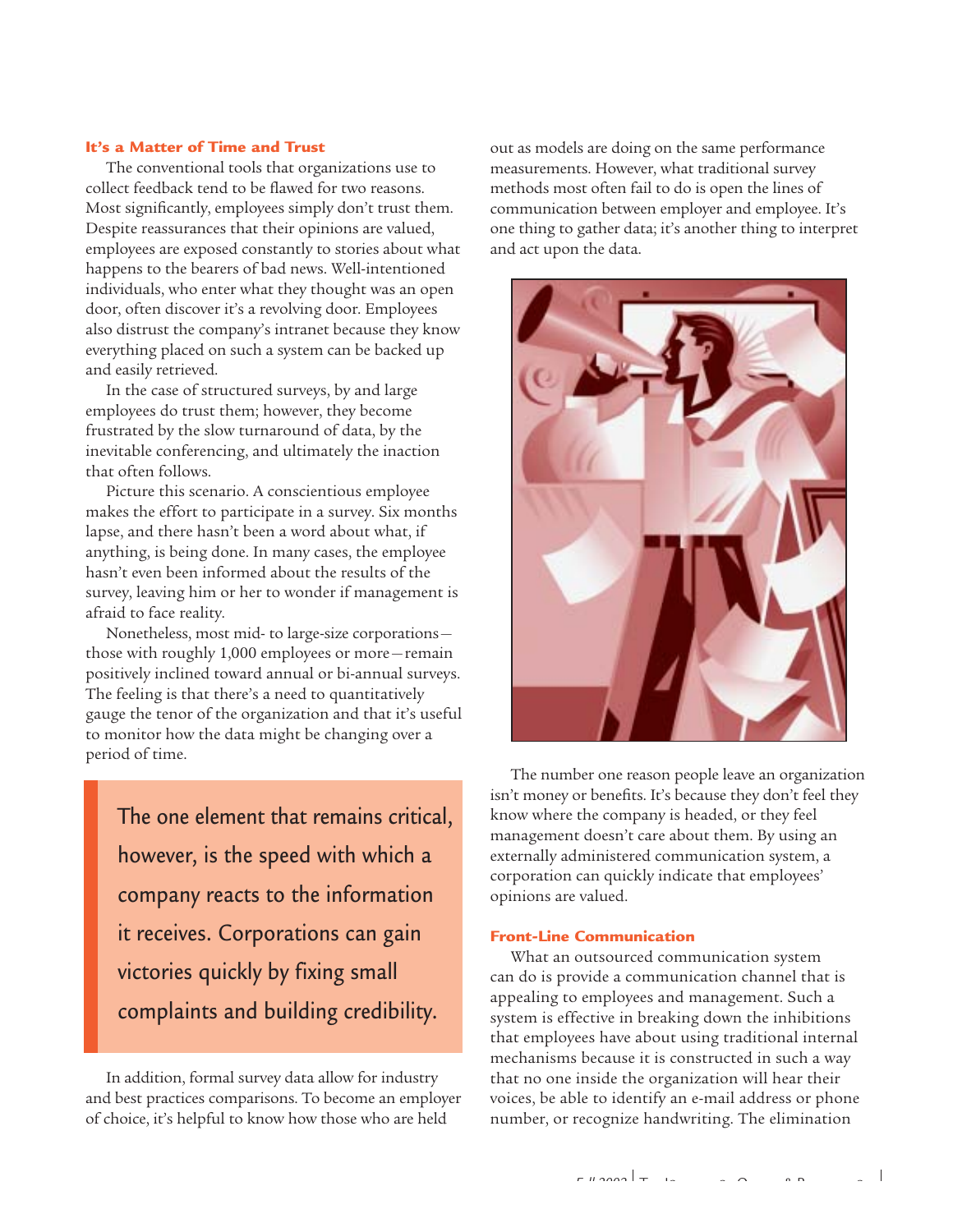# **It's a Matter of Time and Trust**

The conventional tools that organizations use to collect feedback tend to be flawed for two reasons. Most significantly, employees simply don't trust them. Despite reassurances that their opinions are valued, employees are exposed constantly to stories about what happens to the bearers of bad news. Well-intentioned individuals, who enter what they thought was an open door, often discover it's a revolving door. Employees also distrust the company's intranet because they know everything placed on such a system can be backed up and easily retrieved.

In the case of structured surveys, by and large employees do trust them; however, they become frustrated by the slow turnaround of data, by the inevitable conferencing, and ultimately the inaction that often follows.

Picture this scenario. A conscientious employee makes the effort to participate in a survey. Six months lapse, and there hasn't been a word about what, if anything, is being done. In many cases, the employee hasn't even been informed about the results of the survey, leaving him or her to wonder if management is afraid to face reality.

Nonetheless, most mid- to large-size corporations those with roughly 1,000 employees or more—remain positively inclined toward annual or bi-annual surveys. The feeling is that there's a need to quantitatively gauge the tenor of the organization and that it's useful to monitor how the data might be changing over a period of time.

The one element that remains critical, however, is the speed with which a company reacts to the information it receives. Corporations can gain victories quickly by fixing small complaints and building credibility.

In addition, formal survey data allow for industry and best practices comparisons. To become an employer of choice, it's helpful to know how those who are held

out as models are doing on the same performance measurements. However, what traditional survey methods most often fail to do is open the lines of communication between employer and employee. It's one thing to gather data; it's another thing to interpret and act upon the data.



The number one reason people leave an organization isn't money or benefits. It's because they don't feel they know where the company is headed, or they feel management doesn't care about them. By using an externally administered communication system, a corporation can quickly indicate that employees' opinions are valued.

## **Front-Line Communication**

What an outsourced communication system can do is provide a communication channel that is appealing to employees and management. Such a system is effective in breaking down the inhibitions that employees have about using traditional internal mechanisms because it is constructed in such a way that no one inside the organization will hear their voices, be able to identify an e-mail address or phone number, or recognize handwriting. The elimination

 $\overline{\phantom{a}}$